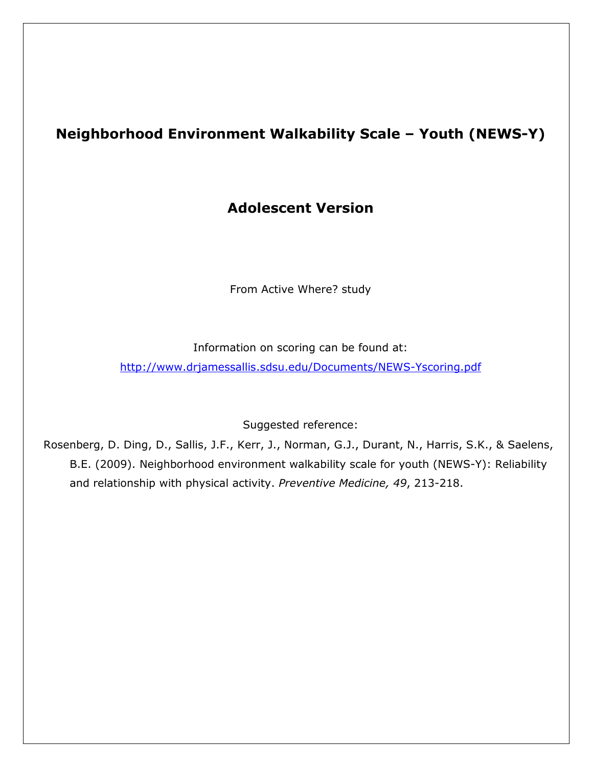### Neighborhood Environment Walkability Scale – Youth (NEWS-Y)

#### Adolescent Version

From Active Where? study

Information on scoring can be found at:

http://www.drjamessallis.sdsu.edu/Documents/NEWS-Yscoring.pdf

Suggested reference:

Rosenberg, D. Ding, D., Sallis, J.F., Kerr, J., Norman, G.J., Durant, N., Harris, S.K., & Saelens, B.E. (2009). Neighborhood environment walkability scale for youth (NEWS-Y): Reliability and relationship with physical activity. Preventive Medicine, 49, 213-218.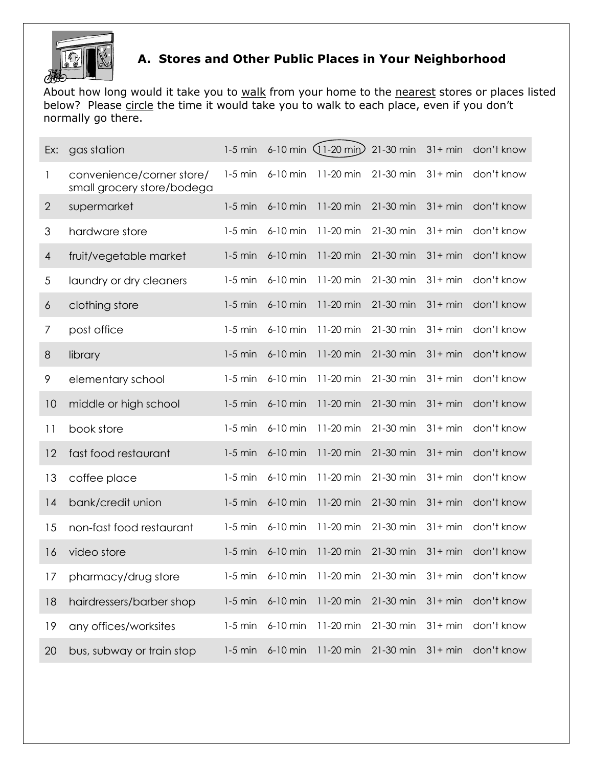

#### A. Stores and Other Public Places in Your Neighborhood

About how long would it take you to walk from your home to the nearest stores or places listed below? Please circle the time it would take you to walk to each place, even if you don't normally go there.

| Ex:            | gas station                                             | $1-5$ min |            | 6-10 min $(11-20 \text{ min})$ | 21-30 min | $31 + min$ | don't know                                              |
|----------------|---------------------------------------------------------|-----------|------------|--------------------------------|-----------|------------|---------------------------------------------------------|
| 1              | convenience/corner store/<br>small grocery store/bodega | $1-5$ min | 6-10 min   | 11-20 min                      | 21-30 min | $31 + min$ | don't know                                              |
| $\overline{2}$ | supermarket                                             | $1-5$ min | $6-10$ min | 11-20 min                      | 21-30 min | $31 + min$ | don't know                                              |
| 3              | hardware store                                          | $1-5$ min | $6-10$ min | 11-20 min                      | 21-30 min | $31+ min$  | don't know                                              |
| 4              | fruit/vegetable market                                  | $1-5$ min | $6-10$ min | 11-20 min                      | 21-30 min | $31 + min$ | don't know                                              |
| 5              | laundry or dry cleaners                                 | $1-5$ min | 6-10 min   | 11-20 min                      | 21-30 min | $31 + min$ | don't know                                              |
| 6              | clothing store                                          | $1-5$ min | 6-10 min   | 11-20 min                      | 21-30 min | $31 + min$ | don't know                                              |
| 7              | post office                                             | $1-5$ min | 6-10 min   | 11-20 min                      | 21-30 min | $31 + min$ | don't know                                              |
| $8\,$          | library                                                 | $1-5$ min | $6-10$ min | 11-20 min                      | 21-30 min | $31 + min$ | don't know                                              |
| 9              | elementary school                                       | $1-5$ min | 6-10 min   | 11-20 min                      | 21-30 min | $31 + min$ | don't know                                              |
| 10             | middle or high school                                   | $1-5$ min | 6-10 min   | 11-20 min                      | 21-30 min | $31 + min$ | don't know                                              |
| 11             | book store                                              | $1-5$ min | $6-10$ min | 11-20 min                      | 21-30 min | $31+ min$  | don't know                                              |
| 12             | fast food restaurant                                    | $1-5$ min | $6-10$ min | 11-20 min                      | 21-30 min | $31 + min$ | don't know                                              |
| 13             | coffee place                                            | $1-5$ min | 6-10 min   | 11-20 min                      | 21-30 min | $31 + min$ | don't know                                              |
| 4              | bank/credit union                                       | $1-5$ min | 6-10 min   | 11-20 min                      | 21-30 min | $31 + min$ | don't know                                              |
| 15             | non-fast food restaurant                                | $1-5$ min | 6-10 min   | 11-20 min                      | 21-30 min | $31 + min$ | don't know                                              |
| 16             | video store                                             | $1-5$ min | 6-10 min   | 11-20 min                      | 21-30 min | $31 + min$ | don't know                                              |
|                | 17 pharmacy/drug store                                  |           |            |                                |           |            | 1-5 min 6-10 min 11-20 min 21-30 min 31+ min don't know |
| 18             | hairdressers/barber shop                                | $1-5$ min | 6-10 min   | 11-20 min                      | 21-30 min | $31 + min$ | don't know                                              |
| 19             | any offices/worksites                                   | $1-5$ min | 6-10 min   | 11-20 min                      | 21-30 min | $31 + min$ | don't know                                              |
| 20             | bus, subway or train stop                               | $1-5$ min | 6-10 min   | 11-20 min                      | 21-30 min | $31 + min$ | don't know                                              |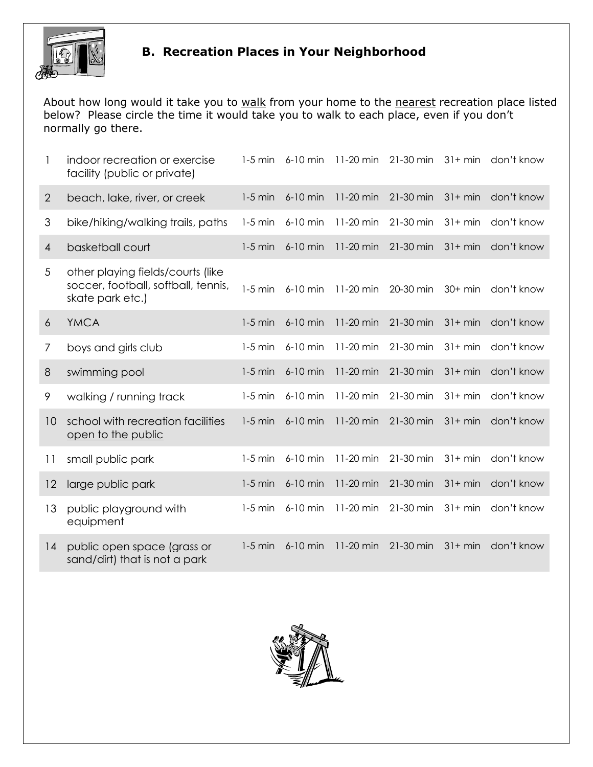

## B. Recreation Places in Your Neighborhood

About how long would it take you to walk from your home to the nearest recreation place listed below? Please circle the time it would take you to walk to each place, even if you don't normally go there.

|                | indoor recreation or exercise<br>facility (public or private)                                | $1-5$ min | 6-10 min   | 11-20 min | 21-30 min | $31 + min$ | don't know |
|----------------|----------------------------------------------------------------------------------------------|-----------|------------|-----------|-----------|------------|------------|
| $\overline{2}$ | beach, lake, river, or creek                                                                 | $1-5$ min | 6-10 min   | 11-20 min | 21-30 min | $31 + min$ | don't know |
| 3              | bike/hiking/walking trails, paths                                                            | $1-5$ min | 6-10 min   | 11-20 min | 21-30 min | $31+ min$  | don't know |
| $\overline{4}$ | basketball court                                                                             | $1-5$ min | 6-10 min   | 11-20 min | 21-30 min | $31 + min$ | don't know |
| 5              | other playing fields/courts (like<br>soccer, football, softball, tennis,<br>skate park etc.) | $1-5$ min | $6-10$ min | 11-20 min | 20-30 min | $30+$ min  | don't know |
| 6              | <b>YMCA</b>                                                                                  | $1-5$ min | 6-10 min   | 11-20 min | 21-30 min | $31 + min$ | don't know |
| 7              | boys and girls club                                                                          | $1-5$ min | 6-10 min   | 11-20 min | 21-30 min | $31+ min$  | don't know |
| 8              | swimming pool                                                                                | $1-5$ min | 6-10 min   | 11-20 min | 21-30 min | $31 + min$ | don't know |
| 9              | walking / running track                                                                      | $1-5$ min | 6-10 min   | 11-20 min | 21-30 min | $31+ min$  | don't know |
| 10             | school with recreation facilities<br>open to the public                                      | $1-5$ min | 6-10 min   | 11-20 min | 21-30 min | $31 + min$ | don't know |
| 11             | small public park                                                                            | $1-5$ min | 6-10 min   | 11-20 min | 21-30 min | $31+ min$  | don't know |
| 12             | large public park                                                                            | $1-5$ min | 6-10 min   | 11-20 min | 21-30 min | $31 + min$ | don't know |
| 13             | public playground with<br>equipment                                                          | $1-5$ min | 6-10 min   | 11-20 min | 21-30 min | $31 + min$ | don't know |
| 14             | public open space (grass or<br>sand/dirt) that is not a park                                 | $1-5$ min | $6-10$ min | 11-20 min | 21-30 min | $31 + min$ | don't know |

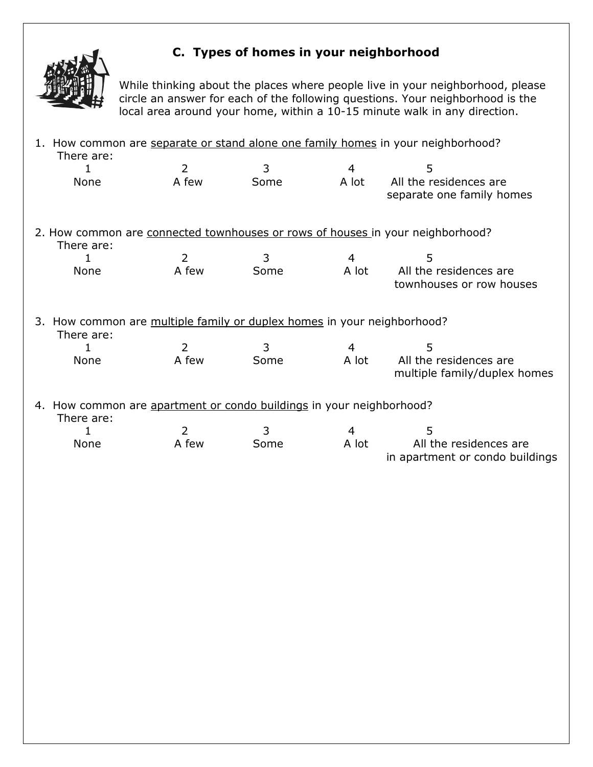

#### C. Types of homes in your neighborhood

While thinking about the places where people live in your neighborhood, please circle an answer for each of the following questions. Your neighborhood is the local area around your home, within a 10-15 minute walk in any direction.

| 1. How common are separate or stand alone one family homes in your neighborhood?<br>There are: |                |      |                |                                                                                |
|------------------------------------------------------------------------------------------------|----------------|------|----------------|--------------------------------------------------------------------------------|
| 1                                                                                              | $\overline{2}$ | 3    | 4              | 5                                                                              |
| None                                                                                           | A few          | Some | A lot          | All the residences are<br>separate one family homes                            |
| There are:                                                                                     |                |      |                | 2. How common are connected townhouses or rows of houses in your neighborhood? |
| 1                                                                                              | 2              | 3    | $\overline{4}$ | 5                                                                              |
| None                                                                                           | A few          | Some | A lot          | All the residences are<br>townhouses or row houses                             |
| 3. How common are multiple family or duplex homes in your neighborhood?<br>There are:          |                |      |                |                                                                                |
| 1                                                                                              | $\overline{2}$ | 3    | 4              | 5                                                                              |
| None                                                                                           | A few          | Some | A lot          | All the residences are<br>multiple family/duplex homes                         |
| 4. How common are apartment or condo buildings in your neighborhood?<br>There are:             |                |      |                |                                                                                |
| 1                                                                                              | 2              | 3    | 4              | 5                                                                              |
| None                                                                                           | A few          | Some | A lot          | All the residences are<br>in apartment or condo buildings                      |
|                                                                                                |                |      |                |                                                                                |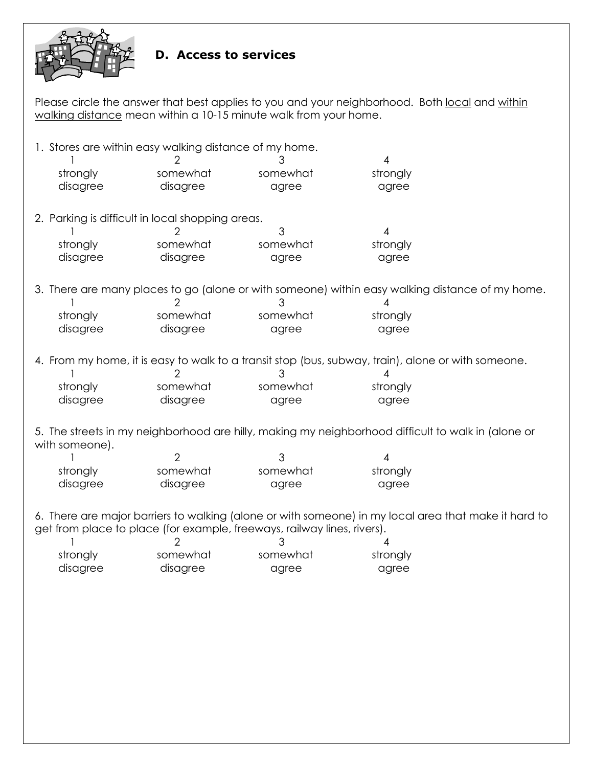

#### D. Access to services

Please circle the answer that best applies to you and your neighborhood. Both local and within walking distance mean within a 10-15 minute walk from your home.

|                | 1. Stores are within easy walking distance of my home. | 3                                                                       | 4                                                                                                       |
|----------------|--------------------------------------------------------|-------------------------------------------------------------------------|---------------------------------------------------------------------------------------------------------|
| strongly       | somewhat                                               | somewhat                                                                | strongly                                                                                                |
| disagree       | disagree                                               | agree                                                                   | agree                                                                                                   |
|                |                                                        |                                                                         |                                                                                                         |
|                | 2. Parking is difficult in local shopping areas.       |                                                                         |                                                                                                         |
|                |                                                        | 3                                                                       | $\overline{\mathcal{A}}$                                                                                |
| strongly       | somewhat                                               | somewhat                                                                | strongly                                                                                                |
| disagree       | disagree                                               | agree                                                                   | agree                                                                                                   |
|                |                                                        |                                                                         | 3. There are many places to go (alone or with someone) within easy walking distance of my home.         |
|                | 2                                                      | 3                                                                       |                                                                                                         |
| strongly       | somewhat                                               | somewhat                                                                | strongly                                                                                                |
| disagree       | disagree                                               | agree                                                                   | agree                                                                                                   |
|                | 2                                                      | 3                                                                       | 4. From my home, it is easy to walk to a transit stop (bus, subway, train), alone or with someone.<br>4 |
| strongly       | somewhat                                               | somewhat                                                                | strongly                                                                                                |
| disagree       | disagree                                               | agree                                                                   | agree                                                                                                   |
| with someone). |                                                        |                                                                         | 5. The streets in my neighborhood are hilly, making my neighborhood difficult to walk in (alone or      |
|                | $\overline{2}$                                         | 3                                                                       | 4                                                                                                       |
| strongly       | somewhat                                               | somewhat                                                                | strongly                                                                                                |
| disagree       | disagree                                               | agree                                                                   | agree                                                                                                   |
|                |                                                        | get from place to place (for example, freeways, railway lines, rivers). | 6. There are major barriers to walking (alone or with someone) in my local area that make it hard to    |
| strongly       | somewhat                                               | somewhat                                                                | strongly                                                                                                |
| disagree       | disagree                                               | agree                                                                   | agree                                                                                                   |
|                |                                                        |                                                                         |                                                                                                         |
|                |                                                        |                                                                         |                                                                                                         |
|                |                                                        |                                                                         |                                                                                                         |
|                |                                                        |                                                                         |                                                                                                         |
|                |                                                        |                                                                         |                                                                                                         |
|                |                                                        |                                                                         |                                                                                                         |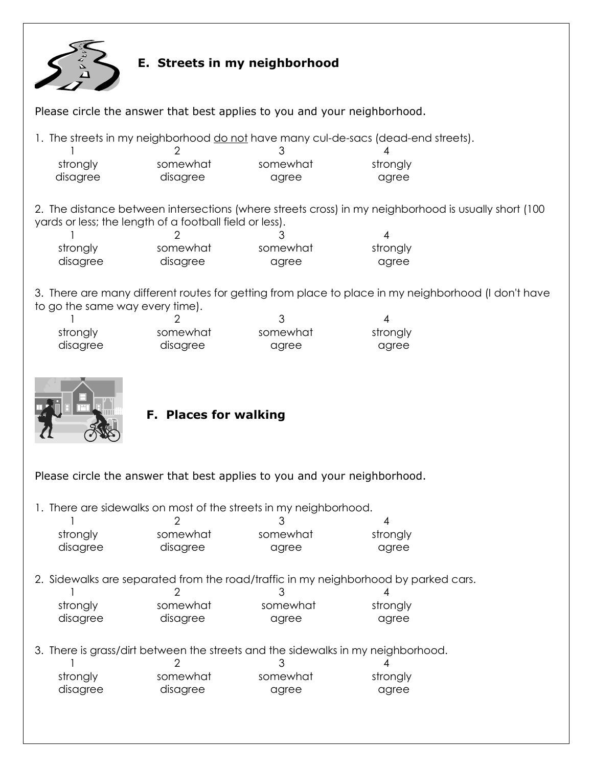

#### E. Streets in my neighborhood

Please circle the answer that best applies to you and your neighborhood.

1. The streets in my neighborhood do not have many cul-de-sacs (dead-end streets).

| strongly | somewhat | somewhat | strongly |
|----------|----------|----------|----------|
| disagree | disagree | agree    | agree    |

2. The distance between intersections (where streets cross) in my neighborhood is usually short (100 yards or less; the length of a football field or less).

| strongly | somewhat | somewhat | strongly |
|----------|----------|----------|----------|
| disagree | disagree | agree    | agree    |

3. There are many different routes for getting from place to place in my neighborhood (I don't have to go the same way every time).

| strongly | somewhat | somewhat | strongly |
|----------|----------|----------|----------|
| disagree | disagree | agree    | agree    |



#### F. Places for walking

Please circle the answer that best applies to you and your neighborhood.

1. There are sidewalks on most of the streets in my neighborhood.

| strongly | somewhat | somewhat | strongly |
|----------|----------|----------|----------|
| disagree | disagree | agree    | agree    |

2. Sidewalks are separated from the road/traffic in my neighborhood by parked cars. 1 2 3 4 strongly somewhat somewhat strongly disagree disagree agree agree agree

3. There is grass/dirt between the streets and the sidewalks in my neighborhood.

| strongly | somewhat | somewhat | strongly |
|----------|----------|----------|----------|
| disagree | disagree | agree    | agree    |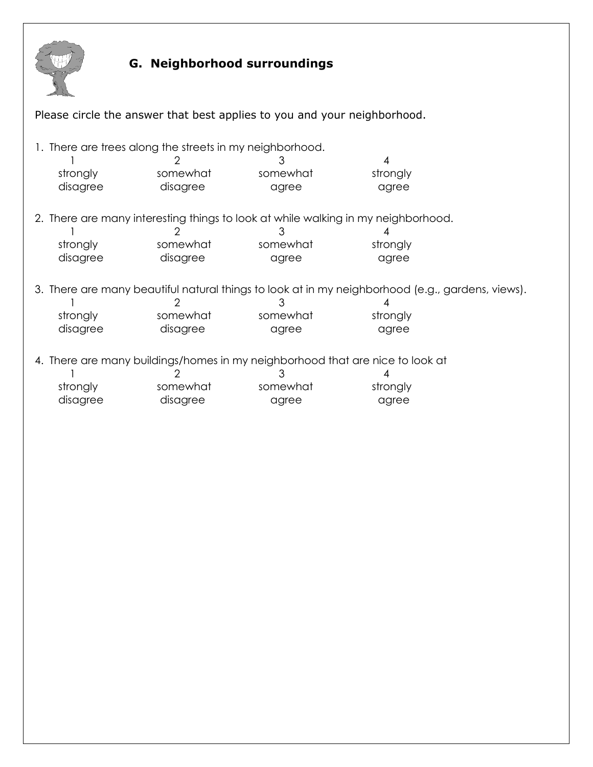

# G. Neighborhood surroundings

| Please circle the answer that best applies to you and your neighborhood.      |                                                          |                                                                                   |                                                                                                  |  |
|-------------------------------------------------------------------------------|----------------------------------------------------------|-----------------------------------------------------------------------------------|--------------------------------------------------------------------------------------------------|--|
|                                                                               |                                                          |                                                                                   |                                                                                                  |  |
|                                                                               | 1. There are trees along the streets in my neighborhood. |                                                                                   |                                                                                                  |  |
|                                                                               |                                                          | 3                                                                                 | 4                                                                                                |  |
| strongly                                                                      | somewhat                                                 | somewhat                                                                          | strongly                                                                                         |  |
| disagree                                                                      | disagree                                                 | agree                                                                             | agree                                                                                            |  |
|                                                                               |                                                          |                                                                                   |                                                                                                  |  |
|                                                                               |                                                          | 2. There are many interesting things to look at while walking in my neighborhood. |                                                                                                  |  |
|                                                                               |                                                          |                                                                                   |                                                                                                  |  |
| strongly                                                                      | somewhat                                                 | somewhat                                                                          | strongly                                                                                         |  |
| disagree                                                                      | disagree                                                 | agree                                                                             | agree                                                                                            |  |
|                                                                               |                                                          |                                                                                   |                                                                                                  |  |
|                                                                               |                                                          |                                                                                   | 3. There are many beautiful natural things to look at in my neighborhood (e.g., gardens, views). |  |
|                                                                               |                                                          |                                                                                   | 4                                                                                                |  |
| strongly                                                                      | somewhat                                                 | somewhat                                                                          | strongly                                                                                         |  |
| disagree                                                                      | disagree                                                 | agree                                                                             | agree                                                                                            |  |
|                                                                               |                                                          |                                                                                   |                                                                                                  |  |
| 4. There are many buildings/homes in my neighborhood that are nice to look at |                                                          |                                                                                   |                                                                                                  |  |
|                                                                               |                                                          | 3                                                                                 |                                                                                                  |  |
| strongly                                                                      | somewhat                                                 | somewhat                                                                          | strongly                                                                                         |  |
| disagree                                                                      | disagree                                                 | agree                                                                             | agree                                                                                            |  |
|                                                                               |                                                          |                                                                                   |                                                                                                  |  |
|                                                                               |                                                          |                                                                                   |                                                                                                  |  |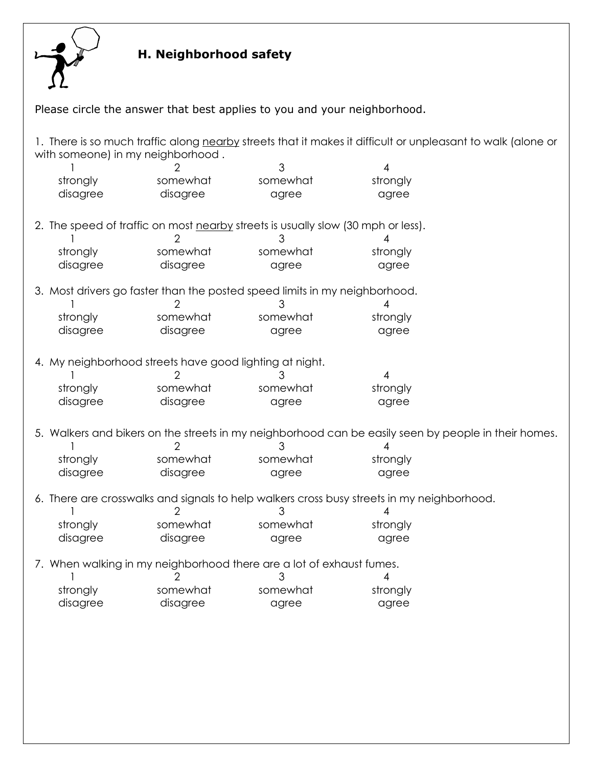

# H. Neighborhood safety

| Please circle the answer that best applies to you and your neighborhood. |                                                                                                                                                  |                                                                                  |                                                                                                      |  |  |
|--------------------------------------------------------------------------|--------------------------------------------------------------------------------------------------------------------------------------------------|----------------------------------------------------------------------------------|------------------------------------------------------------------------------------------------------|--|--|
|                                                                          | 1. There is so much traffic along nearby streets that it makes it difficult or unpleasant to walk (alone or<br>with someone) in my neighborhood. |                                                                                  |                                                                                                      |  |  |
|                                                                          |                                                                                                                                                  | 3                                                                                | 4                                                                                                    |  |  |
| strongly                                                                 | somewhat                                                                                                                                         | somewhat                                                                         | strongly                                                                                             |  |  |
| disagree                                                                 | disagree                                                                                                                                         | agree                                                                            | agree                                                                                                |  |  |
|                                                                          |                                                                                                                                                  | 2. The speed of traffic on most nearby streets is usually slow (30 mph or less). |                                                                                                      |  |  |
|                                                                          |                                                                                                                                                  | 3                                                                                |                                                                                                      |  |  |
| strongly                                                                 | somewhat                                                                                                                                         | somewhat                                                                         | strongly                                                                                             |  |  |
| disagree                                                                 | disagree                                                                                                                                         | agree                                                                            | agree                                                                                                |  |  |
|                                                                          |                                                                                                                                                  | 3. Most drivers go faster than the posted speed limits in my neighborhood.       |                                                                                                      |  |  |
|                                                                          |                                                                                                                                                  | З                                                                                | 4                                                                                                    |  |  |
| strongly                                                                 | somewhat                                                                                                                                         | somewhat                                                                         | strongly                                                                                             |  |  |
| disagree                                                                 | disagree                                                                                                                                         | agree                                                                            | agree                                                                                                |  |  |
| 4. My neighborhood streets have good lighting at night.                  |                                                                                                                                                  |                                                                                  |                                                                                                      |  |  |
|                                                                          |                                                                                                                                                  | 3                                                                                | 4                                                                                                    |  |  |
| strongly                                                                 | somewhat                                                                                                                                         | somewhat                                                                         | strongly                                                                                             |  |  |
| disagree                                                                 | disagree                                                                                                                                         | agree                                                                            | agree                                                                                                |  |  |
|                                                                          |                                                                                                                                                  |                                                                                  | 5. Walkers and bikers on the streets in my neighborhood can be easily seen by people in their homes. |  |  |
|                                                                          |                                                                                                                                                  | З                                                                                |                                                                                                      |  |  |
| strongly                                                                 | somewhat                                                                                                                                         | somewhat                                                                         | strongly                                                                                             |  |  |
| disagree                                                                 | disagree                                                                                                                                         | agree                                                                            | agree                                                                                                |  |  |
|                                                                          |                                                                                                                                                  |                                                                                  | 6. There are crosswalks and signals to help walkers cross busy streets in my neighborhood.           |  |  |
|                                                                          |                                                                                                                                                  |                                                                                  |                                                                                                      |  |  |
| strongly                                                                 | somewhat                                                                                                                                         | somewhat                                                                         | strongly                                                                                             |  |  |
| disagree                                                                 | disagree                                                                                                                                         | agree                                                                            | agree                                                                                                |  |  |
|                                                                          | 7. When walking in my neighborhood there are a lot of exhaust fumes.                                                                             |                                                                                  |                                                                                                      |  |  |
|                                                                          | 2                                                                                                                                                | 3                                                                                | 4                                                                                                    |  |  |
| strongly                                                                 | somewhat                                                                                                                                         | somewhat                                                                         | strongly                                                                                             |  |  |
| disagree                                                                 | disagree                                                                                                                                         | agree                                                                            | agree                                                                                                |  |  |
|                                                                          |                                                                                                                                                  |                                                                                  |                                                                                                      |  |  |
|                                                                          |                                                                                                                                                  |                                                                                  |                                                                                                      |  |  |